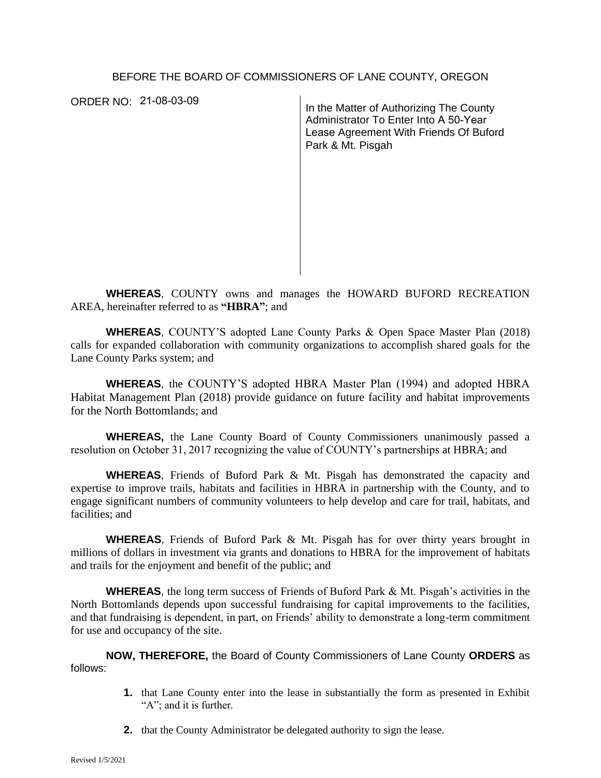#### BEFORE THE BOARD OF COMMISSIONERS OF LANE COUNTY, OREGON

ORDER NO: 21-08-03-09

In the Matter of Authorizing The County Administrator To Enter Into A 50-Year Lease Agreement With Friends Of Buford Park & Mt. Pisgah

**WHEREAS**, COUNTY owns and manages the HOWARD BUFORD RECREATION AREA, hereinafter referred to as **"HBRA"**; and

**WHEREAS**, COUNTY'S adopted Lane County Parks & Open Space Master Plan (2018) calls for expanded collaboration with community organizations to accomplish shared goals for the Lane County Parks system; and

**WHEREAS**, the COUNTY'S adopted HBRA Master Plan (1994) and adopted HBRA Habitat Management Plan (2018) provide guidance on future facility and habitat improvements for the North Bottomlands; and

**WHEREAS,** the Lane County Board of County Commissioners unanimously passed a resolution on October 31, 2017 recognizing the value of COUNTY's partnerships at HBRA; and

**WHEREAS**, Friends of Buford Park & Mt. Pisgah has demonstrated the capacity and expertise to improve trails, habitats and facilities in HBRA in partnership with the County, and to engage significant numbers of community volunteers to help develop and care for trail, habitats, and facilities; and

**WHEREAS**, Friends of Buford Park & Mt. Pisgah has for over thirty years brought in millions of dollars in investment via grants and donations to HBRA for the improvement of habitats and trails for the enjoyment and benefit of the public; and

**WHEREAS**, the long term success of Friends of Buford Park & Mt. Pisgah's activities in the North Bottomlands depends upon successful fundraising for capital improvements to the facilities, and that fundraising is dependent, in part, on Friends' ability to demonstrate a long-term commitment for use and occupancy of the site.

**NOW, THEREFORE,** the Board of County Commissioners of Lane County **ORDERS** as follows:

- **1.** that Lane County enter into the lease in substantially the form as presented in Exhibit "A"; and it is further*.*
- **2.** that the County Administrator be delegated authority to sign the lease.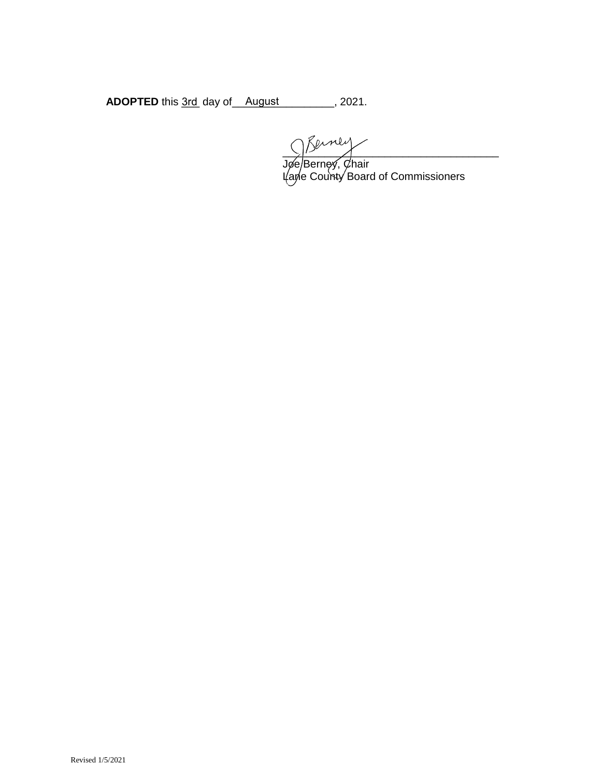**ADOPTED** this 3rd day of August 1997, 2021.

 $\frac{1}{2}$ Jøe/Berney, Øhair Lane County Board of Commissioners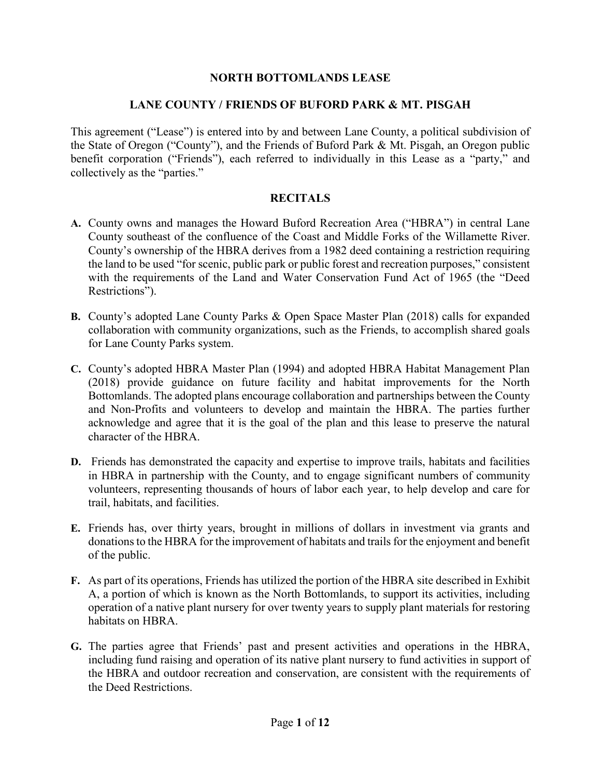#### **NORTH BOTTOMLANDS LEASE**

#### **LANE COUNTY / FRIENDS OF BUFORD PARK & MT. PISGAH**

This agreement ("Lease") is entered into by and between Lane County, a political subdivision of the State of Oregon ("County"), and the Friends of Buford Park & Mt. Pisgah, an Oregon public benefit corporation ("Friends"), each referred to individually in this Lease as a "party," and collectively as the "parties."

#### **RECITALS**

- **A.** County owns and manages the Howard Buford Recreation Area ("HBRA") in central Lane County southeast of the confluence of the Coast and Middle Forks of the Willamette River. County's ownership of the HBRA derives from a 1982 deed containing a restriction requiring the land to be used "for scenic, public park or public forest and recreation purposes," consistent with the requirements of the Land and Water Conservation Fund Act of 1965 (the "Deed Restrictions").
- **B.** County's adopted Lane County Parks & Open Space Master Plan (2018) calls for expanded collaboration with community organizations, such as the Friends, to accomplish shared goals for Lane County Parks system.
- **C.** County's adopted HBRA Master Plan (1994) and adopted HBRA Habitat Management Plan (2018) provide guidance on future facility and habitat improvements for the North Bottomlands. The adopted plans encourage collaboration and partnerships between the County and Non-Profits and volunteers to develop and maintain the HBRA. The parties further acknowledge and agree that it is the goal of the plan and this lease to preserve the natural character of the HBRA.
- **D.** Friends has demonstrated the capacity and expertise to improve trails, habitats and facilities in HBRA in partnership with the County, and to engage significant numbers of community volunteers, representing thousands of hours of labor each year, to help develop and care for trail, habitats, and facilities.
- **E.** Friends has, over thirty years, brought in millions of dollars in investment via grants and donations to the HBRA for the improvement of habitats and trails for the enjoyment and benefit of the public.
- **F.** As part of its operations, Friends has utilized the portion of the HBRA site described in Exhibit A, a portion of which is known as the North Bottomlands, to support its activities, including operation of a native plant nursery for over twenty years to supply plant materials for restoring habitats on HBRA.
- **G.** The parties agree that Friends' past and present activities and operations in the HBRA, including fund raising and operation of its native plant nursery to fund activities in support of the HBRA and outdoor recreation and conservation, are consistent with the requirements of the Deed Restrictions.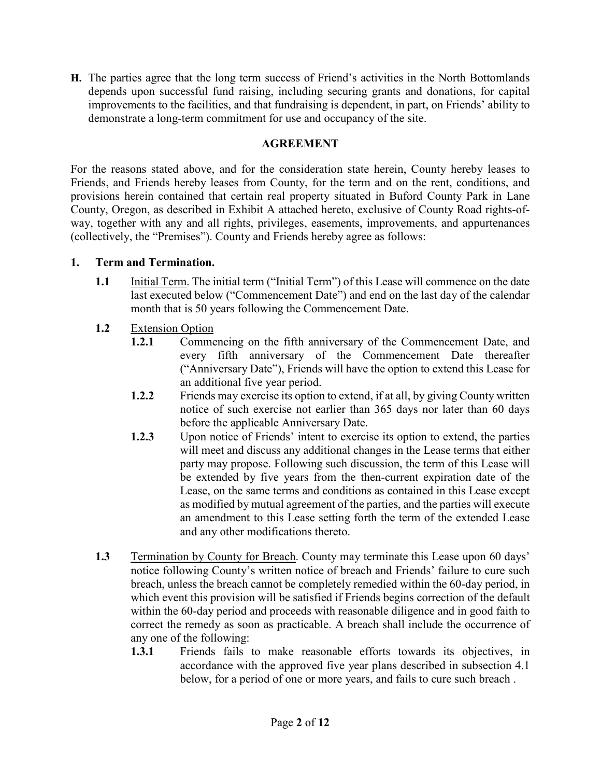**H.** The parties agree that the long term success of Friend's activities in the North Bottomlands depends upon successful fund raising, including securing grants and donations, for capital improvements to the facilities, and that fundraising is dependent, in part, on Friends' ability to demonstrate a long-term commitment for use and occupancy of the site.

### **AGREEMENT**

For the reasons stated above, and for the consideration state herein, County hereby leases to Friends, and Friends hereby leases from County, for the term and on the rent, conditions, and provisions herein contained that certain real property situated in Buford County Park in Lane County, Oregon, as described in Exhibit A attached hereto, exclusive of County Road rights-ofway, together with any and all rights, privileges, easements, improvements, and appurtenances (collectively, the "Premises"). County and Friends hereby agree as follows:

### **1. Term and Termination.**

- **1.1** Initial Term. The initial term ("Initial Term") of this Lease will commence on the date last executed below ("Commencement Date") and end on the last day of the calendar month that is 50 years following the Commencement Date.
- **1.2** Extension Option
	- **1.2.1** Commencing on the fifth anniversary of the Commencement Date, and every fifth anniversary of the Commencement Date thereafter ("Anniversary Date"), Friends will have the option to extend this Lease for an additional five year period.
	- **1.2.2** Friends may exercise its option to extend, if at all, by giving County written notice of such exercise not earlier than 365 days nor later than 60 days before the applicable Anniversary Date.
	- **1.2.3** Upon notice of Friends' intent to exercise its option to extend, the parties will meet and discuss any additional changes in the Lease terms that either party may propose. Following such discussion, the term of this Lease will be extended by five years from the then-current expiration date of the Lease, on the same terms and conditions as contained in this Lease except as modified by mutual agreement of the parties, and the parties will execute an amendment to this Lease setting forth the term of the extended Lease and any other modifications thereto.
- **1.3** Termination by County for Breach. County may terminate this Lease upon 60 days' notice following County's written notice of breach and Friends' failure to cure such breach, unless the breach cannot be completely remedied within the 60-day period, in which event this provision will be satisfied if Friends begins correction of the default within the 60-day period and proceeds with reasonable diligence and in good faith to correct the remedy as soon as practicable. A breach shall include the occurrence of any one of the following:
	- **1.3.1** Friends fails to make reasonable efforts towards its objectives, in accordance with the approved five year plans described in subsection 4.1 below, for a period of one or more years, and fails to cure such breach .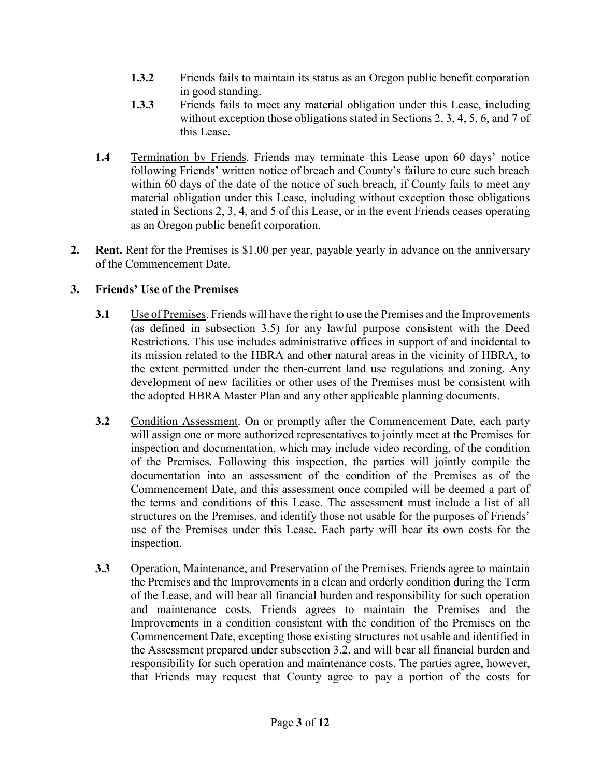- **1.3.2** Friends fails to maintain its status as an Oregon public benefit corporation in good standing.
- **1.3.3** Friends fails to meet any material obligation under this Lease, including without exception those obligations stated in Sections 2, 3, 4, 5, 6, and 7 of this Lease.
- **1.4** Termination by Friends. Friends may terminate this Lease upon 60 days' notice following Friends' written notice of breach and County's failure to cure such breach within 60 days of the date of the notice of such breach, if County fails to meet any material obligation under this Lease, including without exception those obligations stated in Sections 2, 3, 4, and 5 of this Lease, or in the event Friends ceases operating as an Oregon public benefit corporation.
- **2. Rent.** Rent for the Premises is \$1.00 per year, payable yearly in advance on the anniversary of the Commencement Date.

## **3. Friends' Use of the Premises**

- **3.1** Use of Premises. Friends will have the right to use the Premises and the Improvements (as defined in subsection 3.5) for any lawful purpose consistent with the Deed Restrictions. This use includes administrative offices in support of and incidental to its mission related to the HBRA and other natural areas in the vicinity of HBRA, to the extent permitted under the then-current land use regulations and zoning. Any development of new facilities or other uses of the Premises must be consistent with the adopted HBRA Master Plan and any other applicable planning documents.
- **3.2** Condition Assessment. On or promptly after the Commencement Date, each party will assign one or more authorized representatives to jointly meet at the Premises for inspection and documentation, which may include video recording, of the condition of the Premises. Following this inspection, the parties will jointly compile the documentation into an assessment of the condition of the Premises as of the Commencement Date, and this assessment once compiled will be deemed a part of the terms and conditions of this Lease. The assessment must include a list of all structures on the Premises, and identify those not usable for the purposes of Friends' use of the Premises under this Lease. Each party will bear its own costs for the inspection.
- **3.3** Operation, Maintenance, and Preservation of the Premises. Friends agree to maintain the Premises and the Improvements in a clean and orderly condition during the Term of the Lease, and will bear all financial burden and responsibility for such operation and maintenance costs. Friends agrees to maintain the Premises and the Improvements in a condition consistent with the condition of the Premises on the Commencement Date, excepting those existing structures not usable and identified in the Assessment prepared under subsection 3.2, and will bear all financial burden and responsibility for such operation and maintenance costs. The parties agree, however, that Friends may request that County agree to pay a portion of the costs for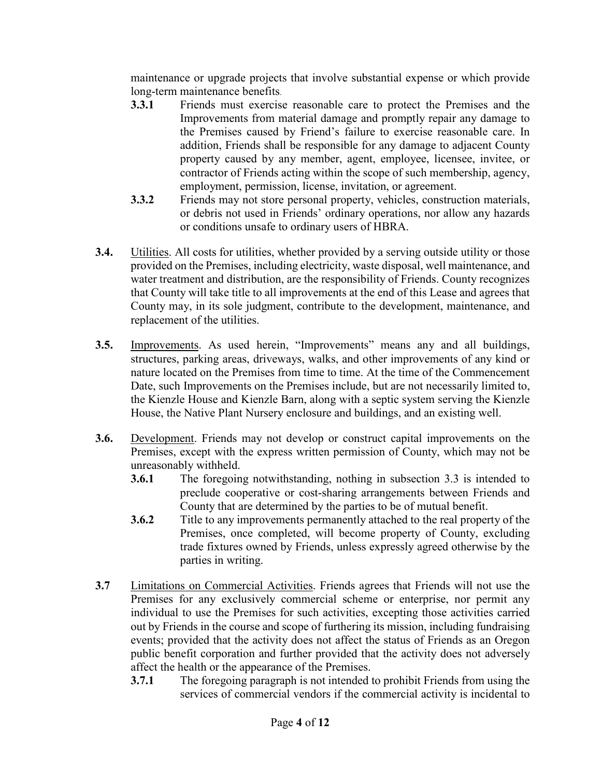maintenance or upgrade projects that involve substantial expense or which provide long-term maintenance benefits.

- **3.3.1** Friends must exercise reasonable care to protect the Premises and the Improvements from material damage and promptly repair any damage to the Premises caused by Friend's failure to exercise reasonable care. In addition, Friends shall be responsible for any damage to adjacent County property caused by any member, agent, employee, licensee, invitee, or contractor of Friends acting within the scope of such membership, agency, employment, permission, license, invitation, or agreement.
- **3.3.2** Friends may not store personal property, vehicles, construction materials, or debris not used in Friends' ordinary operations, nor allow any hazards or conditions unsafe to ordinary users of HBRA.
- **3.4.** Utilities. All costs for utilities, whether provided by a serving outside utility or those provided on the Premises, including electricity, waste disposal, well maintenance, and water treatment and distribution, are the responsibility of Friends. County recognizes that County will take title to all improvements at the end of this Lease and agrees that County may, in its sole judgment, contribute to the development, maintenance, and replacement of the utilities.
- **3.5.** Improvements. As used herein, "Improvements" means any and all buildings, structures, parking areas, driveways, walks, and other improvements of any kind or nature located on the Premises from time to time. At the time of the Commencement Date, such Improvements on the Premises include, but are not necessarily limited to, the Kienzle House and Kienzle Barn, along with a septic system serving the Kienzle House, the Native Plant Nursery enclosure and buildings, and an existing well.
- **3.6.** Development. Friends may not develop or construct capital improvements on the Premises, except with the express written permission of County, which may not be unreasonably withheld.
	- **3.6.1** The foregoing notwithstanding, nothing in subsection 3.3 is intended to preclude cooperative or cost-sharing arrangements between Friends and County that are determined by the parties to be of mutual benefit.
	- **3.6.2** Title to any improvements permanently attached to the real property of the Premises, once completed, will become property of County, excluding trade fixtures owned by Friends, unless expressly agreed otherwise by the parties in writing.
- **3.7** Limitations on Commercial Activities. Friends agrees that Friends will not use the Premises for any exclusively commercial scheme or enterprise, nor permit any individual to use the Premises for such activities, excepting those activities carried out by Friends in the course and scope of furthering its mission, including fundraising events; provided that the activity does not affect the status of Friends as an Oregon public benefit corporation and further provided that the activity does not adversely affect the health or the appearance of the Premises.
	- **3.7.1** The foregoing paragraph is not intended to prohibit Friends from using the services of commercial vendors if the commercial activity is incidental to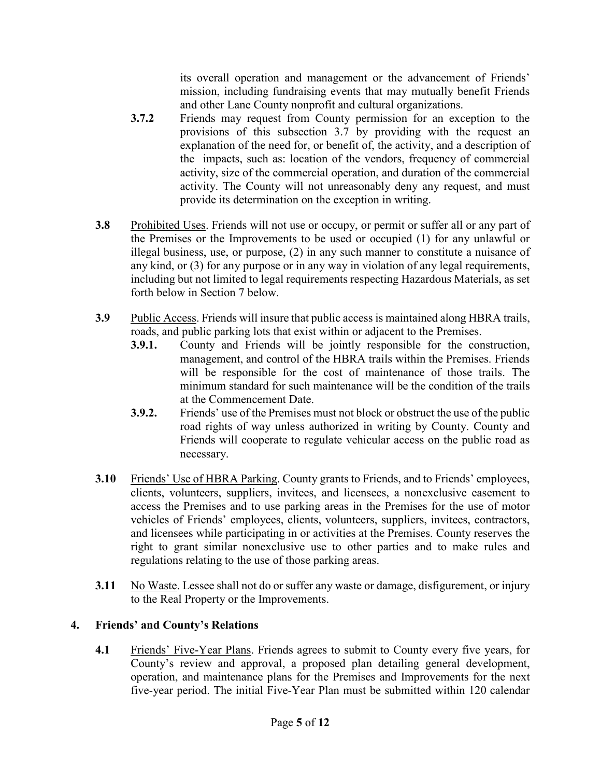its overall operation and management or the advancement of Friends' mission, including fundraising events that may mutually benefit Friends and other Lane County nonprofit and cultural organizations.

- **3.7.2** Friends may request from County permission for an exception to the provisions of this subsection 3.7 by providing with the request an explanation of the need for, or benefit of, the activity, and a description of the impacts, such as: location of the vendors, frequency of commercial activity, size of the commercial operation, and duration of the commercial activity. The County will not unreasonably deny any request, and must provide its determination on the exception in writing.
- **3.8** Prohibited Uses. Friends will not use or occupy, or permit or suffer all or any part of the Premises or the Improvements to be used or occupied (1) for any unlawful or illegal business, use, or purpose, (2) in any such manner to constitute a nuisance of any kind, or (3) for any purpose or in any way in violation of any legal requirements, including but not limited to legal requirements respecting Hazardous Materials, as set forth below in Section 7 below.
- **3.9** Public Access. Friends will insure that public access is maintained along HBRA trails, roads, and public parking lots that exist within or adjacent to the Premises.
	- **3.9.1.** County and Friends will be jointly responsible for the construction, management, and control of the HBRA trails within the Premises. Friends will be responsible for the cost of maintenance of those trails. The minimum standard for such maintenance will be the condition of the trails at the Commencement Date.
	- **3.9.2.** Friends' use of the Premises must not block or obstruct the use of the public road rights of way unless authorized in writing by County. County and Friends will cooperate to regulate vehicular access on the public road as necessary.
- **3.10** Friends' Use of HBRA Parking. County grants to Friends, and to Friends' employees, clients, volunteers, suppliers, invitees, and licensees, a nonexclusive easement to access the Premises and to use parking areas in the Premises for the use of motor vehicles of Friends' employees, clients, volunteers, suppliers, invitees, contractors, and licensees while participating in or activities at the Premises. County reserves the right to grant similar nonexclusive use to other parties and to make rules and regulations relating to the use of those parking areas.
- **3.11** No Waste. Lessee shall not do or suffer any waste or damage, disfigurement, or injury to the Real Property or the Improvements.

# **4. Friends' and County's Relations**

**4.1** Friends' Five-Year Plans. Friends agrees to submit to County every five years, for County's review and approval, a proposed plan detailing general development, operation, and maintenance plans for the Premises and Improvements for the next five-year period. The initial Five-Year Plan must be submitted within 120 calendar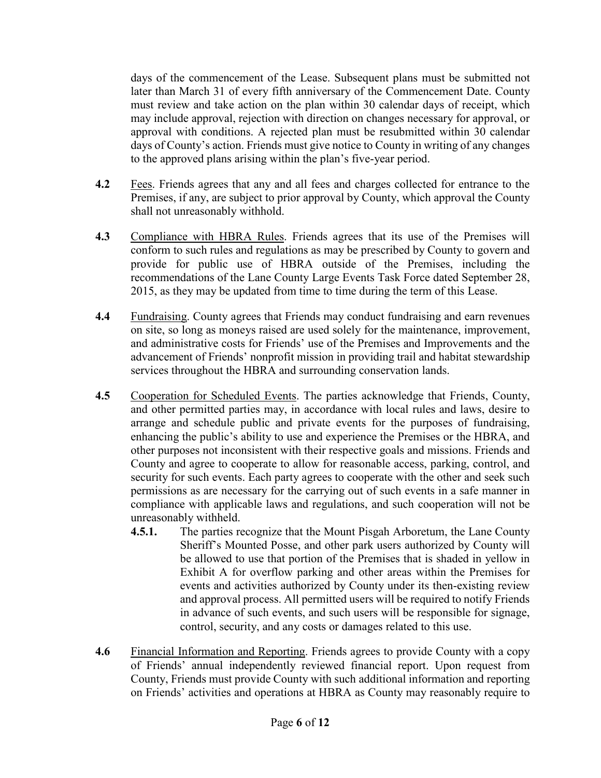days of the commencement of the Lease. Subsequent plans must be submitted not later than March 31 of every fifth anniversary of the Commencement Date. County must review and take action on the plan within 30 calendar days of receipt, which may include approval, rejection with direction on changes necessary for approval, or approval with conditions. A rejected plan must be resubmitted within 30 calendar days of County's action. Friends must give notice to County in writing of any changes to the approved plans arising within the plan's five-year period.

- **4.2** Fees. Friends agrees that any and all fees and charges collected for entrance to the Premises, if any, are subject to prior approval by County, which approval the County shall not unreasonably withhold.
- **4.3** Compliance with HBRA Rules. Friends agrees that its use of the Premises will conform to such rules and regulations as may be prescribed by County to govern and provide for public use of HBRA outside of the Premises, including the recommendations of the Lane County Large Events Task Force dated September 28, 2015, as they may be updated from time to time during the term of this Lease.
- **4.4** Fundraising. County agrees that Friends may conduct fundraising and earn revenues on site, so long as moneys raised are used solely for the maintenance, improvement, and administrative costs for Friends' use of the Premises and Improvements and the advancement of Friends' nonprofit mission in providing trail and habitat stewardship services throughout the HBRA and surrounding conservation lands.
- **4.5** Cooperation for Scheduled Events. The parties acknowledge that Friends, County, and other permitted parties may, in accordance with local rules and laws, desire to arrange and schedule public and private events for the purposes of fundraising, enhancing the public's ability to use and experience the Premises or the HBRA, and other purposes not inconsistent with their respective goals and missions. Friends and County and agree to cooperate to allow for reasonable access, parking, control, and security for such events. Each party agrees to cooperate with the other and seek such permissions as are necessary for the carrying out of such events in a safe manner in compliance with applicable laws and regulations, and such cooperation will not be unreasonably withheld.
	- **4.5.1.** The parties recognize that the Mount Pisgah Arboretum, the Lane County Sheriff's Mounted Posse, and other park users authorized by County will be allowed to use that portion of the Premises that is shaded in yellow in Exhibit A for overflow parking and other areas within the Premises for events and activities authorized by County under its then-existing review and approval process. All permitted users will be required to notify Friends in advance of such events, and such users will be responsible for signage, control, security, and any costs or damages related to this use.
- **4.6** Financial Information and Reporting. Friends agrees to provide County with a copy of Friends' annual independently reviewed financial report. Upon request from County, Friends must provide County with such additional information and reporting on Friends' activities and operations at HBRA as County may reasonably require to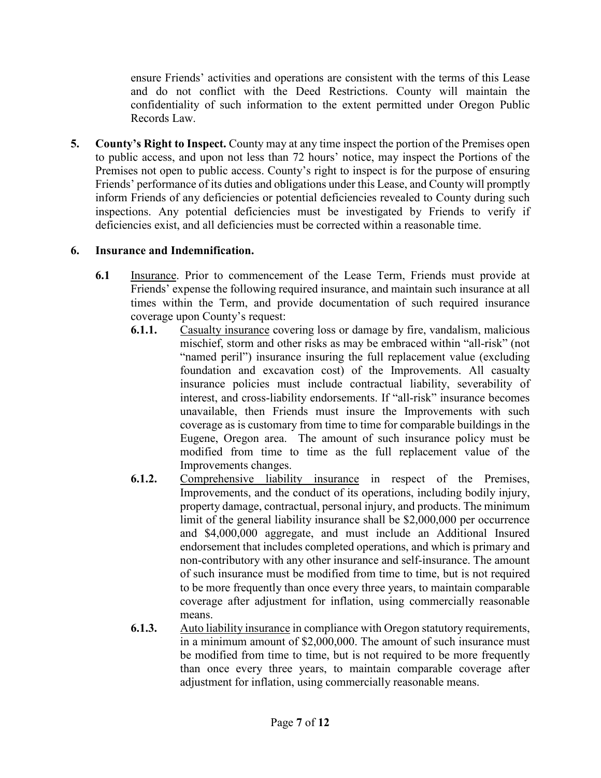ensure Friends' activities and operations are consistent with the terms of this Lease and do not conflict with the Deed Restrictions. County will maintain the confidentiality of such information to the extent permitted under Oregon Public Records Law.

**5. County's Right to Inspect.** County may at any time inspect the portion of the Premises open to public access, and upon not less than 72 hours' notice, may inspect the Portions of the Premises not open to public access. County's right to inspect is for the purpose of ensuring Friends' performance of its duties and obligations under this Lease, and County will promptly inform Friends of any deficiencies or potential deficiencies revealed to County during such inspections. Any potential deficiencies must be investigated by Friends to verify if deficiencies exist, and all deficiencies must be corrected within a reasonable time.

## **6. Insurance and Indemnification.**

- **6.1** Insurance. Prior to commencement of the Lease Term, Friends must provide at Friends' expense the following required insurance, and maintain such insurance at all times within the Term, and provide documentation of such required insurance coverage upon County's request:
	- **6.1.1.** Casualty insurance covering loss or damage by fire, vandalism, malicious mischief, storm and other risks as may be embraced within "all-risk" (not "named peril") insurance insuring the full replacement value (excluding foundation and excavation cost) of the Improvements. All casualty insurance policies must include contractual liability, severability of interest, and cross-liability endorsements. If "all-risk" insurance becomes unavailable, then Friends must insure the Improvements with such coverage as is customary from time to time for comparable buildings in the Eugene, Oregon area. The amount of such insurance policy must be modified from time to time as the full replacement value of the Improvements changes.
	- **6.1.2.** Comprehensive liability insurance in respect of the Premises, Improvements, and the conduct of its operations, including bodily injury, property damage, contractual, personal injury, and products. The minimum limit of the general liability insurance shall be \$2,000,000 per occurrence and \$4,000,000 aggregate, and must include an Additional Insured endorsement that includes completed operations, and which is primary and non-contributory with any other insurance and self-insurance. The amount of such insurance must be modified from time to time, but is not required to be more frequently than once every three years, to maintain comparable coverage after adjustment for inflation, using commercially reasonable means.
	- **6.1.3.** Auto liability insurance in compliance with Oregon statutory requirements, in a minimum amount of \$2,000,000. The amount of such insurance must be modified from time to time, but is not required to be more frequently than once every three years, to maintain comparable coverage after adjustment for inflation, using commercially reasonable means.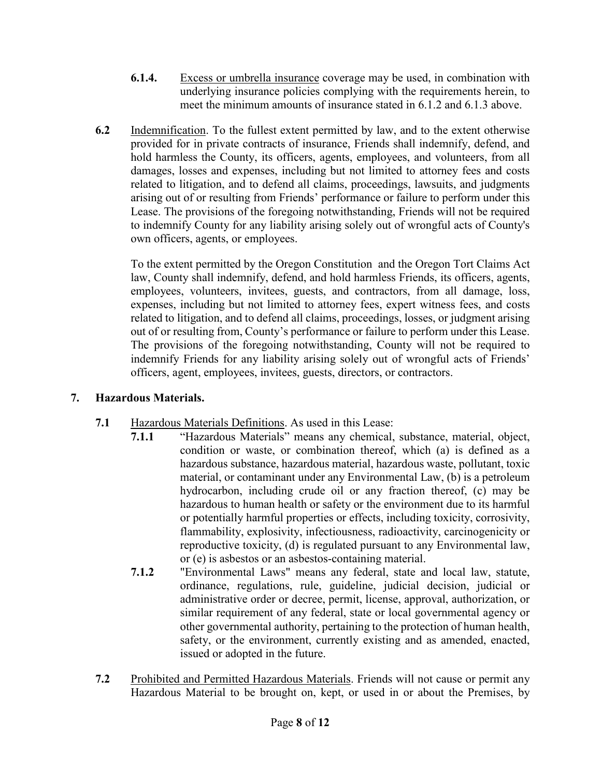- **6.1.4.** Excess or umbrella insurance coverage may be used, in combination with underlying insurance policies complying with the requirements herein, to meet the minimum amounts of insurance stated in 6.1.2 and 6.1.3 above.
- **6.2** Indemnification. To the fullest extent permitted by law, and to the extent otherwise provided for in private contracts of insurance, Friends shall indemnify, defend, and hold harmless the County, its officers, agents, employees, and volunteers, from all damages, losses and expenses, including but not limited to attorney fees and costs related to litigation, and to defend all claims, proceedings, lawsuits, and judgments arising out of or resulting from Friends' performance or failure to perform under this Lease. The provisions of the foregoing notwithstanding, Friends will not be required to indemnify County for any liability arising solely out of wrongful acts of County's own officers, agents, or employees.

To the extent permitted by the Oregon Constitution and the Oregon Tort Claims Act law, County shall indemnify, defend, and hold harmless Friends, its officers, agents, employees, volunteers, invitees, guests, and contractors, from all damage, loss, expenses, including but not limited to attorney fees, expert witness fees, and costs related to litigation, and to defend all claims, proceedings, losses, or judgment arising out of or resulting from, County's performance or failure to perform under this Lease. The provisions of the foregoing notwithstanding, County will not be required to indemnify Friends for any liability arising solely out of wrongful acts of Friends' officers, agent, employees, invitees, guests, directors, or contractors.

## **7. Hazardous Materials.**

- **7.1** Hazardous Materials Definitions. As used in this Lease:
	- **7.1.1** "Hazardous Materials" means any chemical, substance, material, object, condition or waste, or combination thereof, which (a) is defined as a hazardous substance, hazardous material, hazardous waste, pollutant, toxic material, or contaminant under any Environmental Law, (b) is a petroleum hydrocarbon, including crude oil or any fraction thereof, (c) may be hazardous to human health or safety or the environment due to its harmful or potentially harmful properties or effects, including toxicity, corrosivity, flammability, explosivity, infectiousness, radioactivity, carcinogenicity or reproductive toxicity, (d) is regulated pursuant to any Environmental law, or (e) is asbestos or an asbestos-containing material.
	- **7.1.2** "Environmental Laws" means any federal, state and local law, statute, ordinance, regulations, rule, guideline, judicial decision, judicial or administrative order or decree, permit, license, approval, authorization, or similar requirement of any federal, state or local governmental agency or other governmental authority, pertaining to the protection of human health, safety, or the environment, currently existing and as amended, enacted, issued or adopted in the future.
- **7.2** Prohibited and Permitted Hazardous Materials. Friends will not cause or permit any Hazardous Material to be brought on, kept, or used in or about the Premises, by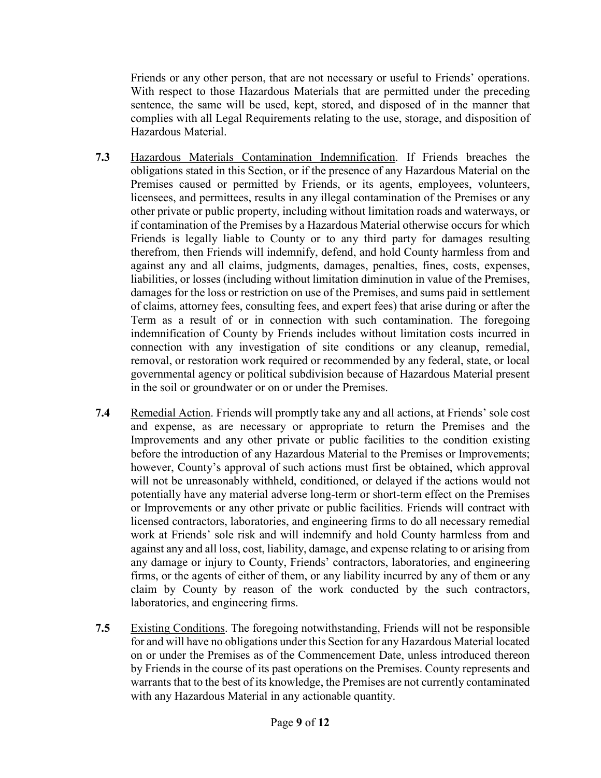Friends or any other person, that are not necessary or useful to Friends' operations. With respect to those Hazardous Materials that are permitted under the preceding sentence, the same will be used, kept, stored, and disposed of in the manner that complies with all Legal Requirements relating to the use, storage, and disposition of Hazardous Material.

- **7.3** Hazardous Materials Contamination Indemnification. If Friends breaches the obligations stated in this Section, or if the presence of any Hazardous Material on the Premises caused or permitted by Friends, or its agents, employees, volunteers, licensees, and permittees, results in any illegal contamination of the Premises or any other private or public property, including without limitation roads and waterways, or if contamination of the Premises by a Hazardous Material otherwise occurs for which Friends is legally liable to County or to any third party for damages resulting therefrom, then Friends will indemnify, defend, and hold County harmless from and against any and all claims, judgments, damages, penalties, fines, costs, expenses, liabilities, or losses (including without limitation diminution in value of the Premises, damages for the loss or restriction on use of the Premises, and sums paid in settlement of claims, attorney fees, consulting fees, and expert fees) that arise during or after the Term as a result of or in connection with such contamination. The foregoing indemnification of County by Friends includes without limitation costs incurred in connection with any investigation of site conditions or any cleanup, remedial, removal, or restoration work required or recommended by any federal, state, or local governmental agency or political subdivision because of Hazardous Material present in the soil or groundwater or on or under the Premises.
- **7.4** Remedial Action. Friends will promptly take any and all actions, at Friends' sole cost and expense, as are necessary or appropriate to return the Premises and the Improvements and any other private or public facilities to the condition existing before the introduction of any Hazardous Material to the Premises or Improvements; however, County's approval of such actions must first be obtained, which approval will not be unreasonably withheld, conditioned, or delayed if the actions would not potentially have any material adverse long-term or short-term effect on the Premises or Improvements or any other private or public facilities. Friends will contract with licensed contractors, laboratories, and engineering firms to do all necessary remedial work at Friends' sole risk and will indemnify and hold County harmless from and against any and all loss, cost, liability, damage, and expense relating to or arising from any damage or injury to County, Friends' contractors, laboratories, and engineering firms, or the agents of either of them, or any liability incurred by any of them or any claim by County by reason of the work conducted by the such contractors, laboratories, and engineering firms.
- **7.5** Existing Conditions. The foregoing notwithstanding, Friends will not be responsible for and will have no obligations under this Section for any Hazardous Material located on or under the Premises as of the Commencement Date, unless introduced thereon by Friends in the course of its past operations on the Premises. County represents and warrants that to the best of its knowledge, the Premises are not currently contaminated with any Hazardous Material in any actionable quantity.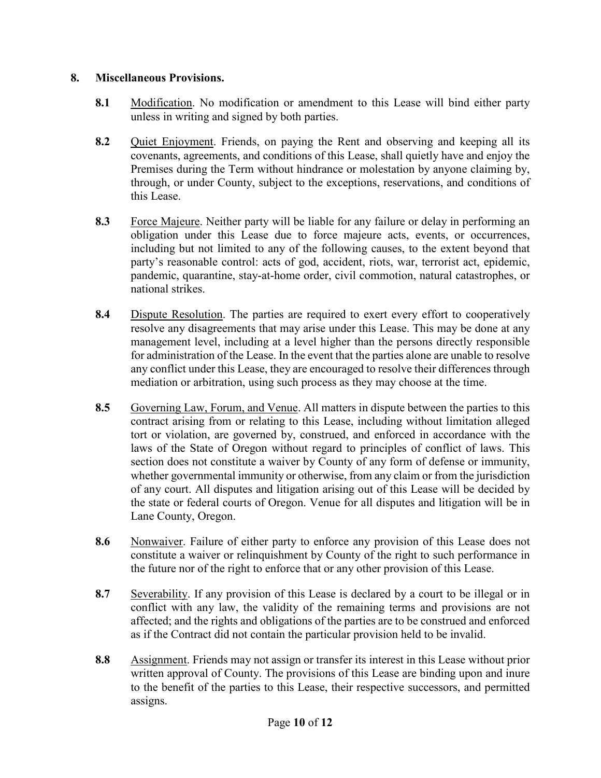### **8. Miscellaneous Provisions.**

- **8.1** Modification. No modification or amendment to this Lease will bind either party unless in writing and signed by both parties.
- **8.2** Quiet Enjoyment. Friends, on paying the Rent and observing and keeping all its covenants, agreements, and conditions of this Lease, shall quietly have and enjoy the Premises during the Term without hindrance or molestation by anyone claiming by, through, or under County, subject to the exceptions, reservations, and conditions of this Lease.
- **8.3** Force Majeure. Neither party will be liable for any failure or delay in performing an obligation under this Lease due to force majeure acts, events, or occurrences, including but not limited to any of the following causes, to the extent beyond that party's reasonable control: acts of god, accident, riots, war, terrorist act, epidemic, pandemic, quarantine, stay-at-home order, civil commotion, natural catastrophes, or national strikes.
- **8.4** Dispute Resolution. The parties are required to exert every effort to cooperatively resolve any disagreements that may arise under this Lease. This may be done at any management level, including at a level higher than the persons directly responsible for administration of the Lease. In the event that the parties alone are unable to resolve any conflict under this Lease, they are encouraged to resolve their differences through mediation or arbitration, using such process as they may choose at the time.
- **8.5** Governing Law, Forum, and Venue. All matters in dispute between the parties to this contract arising from or relating to this Lease, including without limitation alleged tort or violation, are governed by, construed, and enforced in accordance with the laws of the State of Oregon without regard to principles of conflict of laws. This section does not constitute a waiver by County of any form of defense or immunity, whether governmental immunity or otherwise, from any claim or from the jurisdiction of any court. All disputes and litigation arising out of this Lease will be decided by the state or federal courts of Oregon. Venue for all disputes and litigation will be in Lane County, Oregon.
- **8.6** Nonwaiver. Failure of either party to enforce any provision of this Lease does not constitute a waiver or relinquishment by County of the right to such performance in the future nor of the right to enforce that or any other provision of this Lease.
- **8.7** Severability. If any provision of this Lease is declared by a court to be illegal or in conflict with any law, the validity of the remaining terms and provisions are not affected; and the rights and obligations of the parties are to be construed and enforced as if the Contract did not contain the particular provision held to be invalid.
- **8.8** Assignment. Friends may not assign or transfer its interest in this Lease without prior written approval of County. The provisions of this Lease are binding upon and inure to the benefit of the parties to this Lease, their respective successors, and permitted assigns.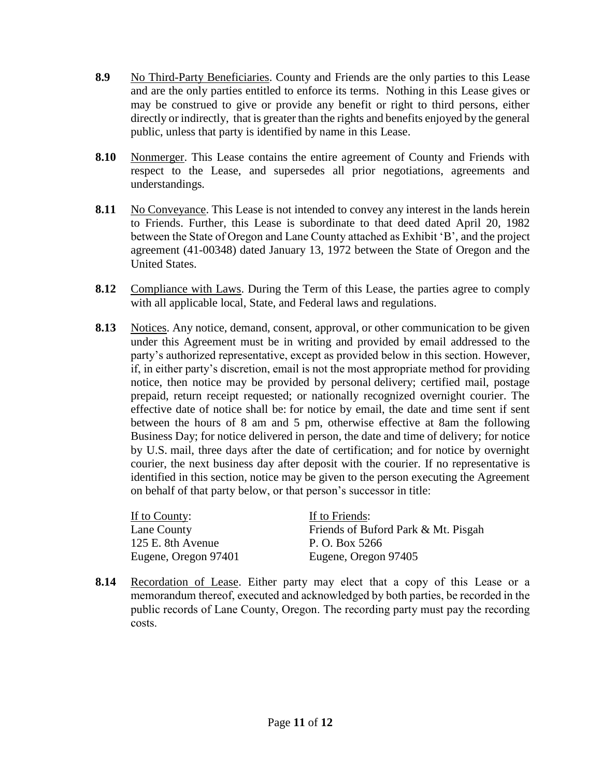- **8.9** No Third-Party Beneficiaries. County and Friends are the only parties to this Lease and are the only parties entitled to enforce its terms. Nothing in this Lease gives or may be construed to give or provide any benefit or right to third persons, either directly or indirectly, that is greater than the rights and benefits enjoyed by the general public, unless that party is identified by name in this Lease.
- **8.10** Nonmerger. This Lease contains the entire agreement of County and Friends with respect to the Lease, and supersedes all prior negotiations, agreements and understandings*.*
- **8.11** No Conveyance. This Lease is not intended to convey any interest in the lands herein to Friends. Further, this Lease is subordinate to that deed dated April 20, 1982 between the State of Oregon and Lane County attached as Exhibit 'B', and the project agreement (41-00348) dated January 13, 1972 between the State of Oregon and the United States.
- **8.12** Compliance with Laws. During the Term of this Lease, the parties agree to comply with all applicable local, State, and Federal laws and regulations.
- **8.13** Notices. Any notice, demand, consent, approval, or other communication to be given under this Agreement must be in writing and provided by email addressed to the party's authorized representative, except as provided below in this section. However, if, in either party's discretion, email is not the most appropriate method for providing notice, then notice may be provided by personal delivery; certified mail, postage prepaid, return receipt requested; or nationally recognized overnight courier. The effective date of notice shall be: for notice by email, the date and time sent if sent between the hours of 8 am and 5 pm, otherwise effective at 8am the following Business Day; for notice delivered in person, the date and time of delivery; for notice by U.S. mail, three days after the date of certification; and for notice by overnight courier, the next business day after deposit with the courier. If no representative is identified in this section, notice may be given to the person executing the Agreement on behalf of that party below, or that person's successor in title:

| If to County:        | If to Friends:                      |
|----------------------|-------------------------------------|
| Lane County          | Friends of Buford Park & Mt. Pisgah |
| 125 E. 8th Avenue    | P. O. Box 5266                      |
| Eugene, Oregon 97401 | Eugene, Oregon 97405                |

**8.14** Recordation of Lease. Either party may elect that a copy of this Lease or a memorandum thereof, executed and acknowledged by both parties, be recorded in the public records of Lane County, Oregon. The recording party must pay the recording costs.